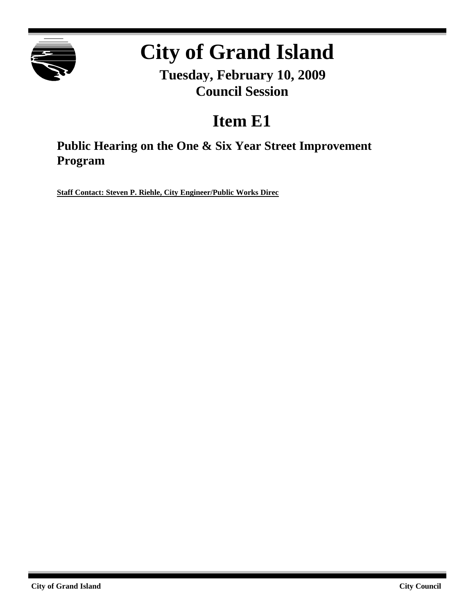

# **City of Grand Island**

**Tuesday, February 10, 2009 Council Session**

## **Item E1**

**Public Hearing on the One & Six Year Street Improvement Program**

**Staff Contact: Steven P. Riehle, City Engineer/Public Works Direc**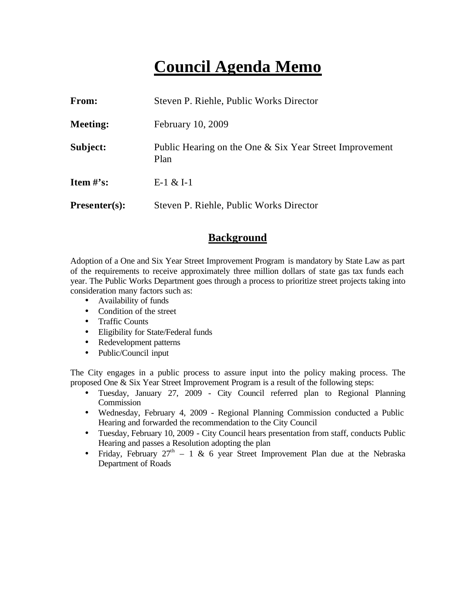### **Council Agenda Memo**

| From:                          | Steven P. Riehle, Public Works Director                         |
|--------------------------------|-----------------------------------------------------------------|
| <b>Meeting:</b>                | February 10, 2009                                               |
| Subject:                       | Public Hearing on the One & Six Year Street Improvement<br>Plan |
| <b>Item <math>\#</math>'s:</b> | $E-1 & 2I-1$                                                    |
| $Presenter(s):$                | Steven P. Riehle, Public Works Director                         |

#### **Background**

Adoption of a One and Six Year Street Improvement Program is mandatory by State Law as part of the requirements to receive approximately three million dollars of state gas tax funds each year. The Public Works Department goes through a process to prioritize street projects taking into consideration many factors such as:

- Availability of funds
- Condition of the street
- Traffic Counts
- Eligibility for State/Federal funds
- Redevelopment patterns
- Public/Council input

The City engages in a public process to assure input into the policy making process. The proposed One & Six Year Street Improvement Program is a result of the following steps:

- Tuesday, January 27, 2009 City Council referred plan to Regional Planning **Commission**
- Wednesday, February 4, 2009 Regional Planning Commission conducted a Public Hearing and forwarded the recommendation to the City Council
- Tuesday, February 10, 2009 City Council hears presentation from staff, conducts Public Hearing and passes a Resolution adopting the plan
- Friday, February  $27<sup>th</sup> 1$  & 6 year Street Improvement Plan due at the Nebraska Department of Roads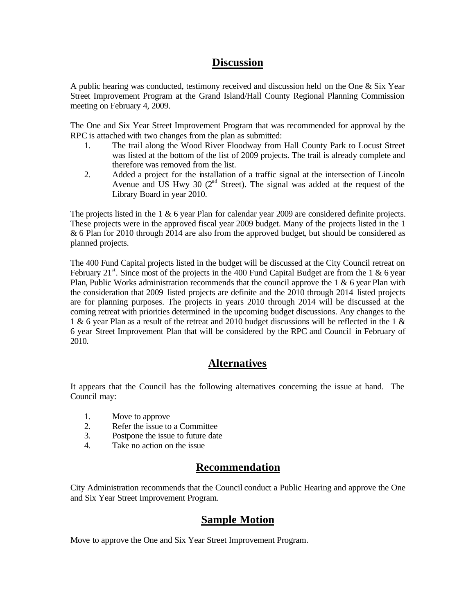### **Discussion**

A public hearing was conducted, testimony received and discussion held on the One & Six Year Street Improvement Program at the Grand Island/Hall County Regional Planning Commission meeting on February 4, 2009.

The One and Six Year Street Improvement Program that was recommended for approval by the RPC is attached with two changes from the plan as submitted:

- 1. The trail along the Wood River Floodway from Hall County Park to Locust Street was listed at the bottom of the list of 2009 projects. The trail is already complete and therefore was removed from the list.
- 2. Added a project for the installation of a traffic signal at the intersection of Lincoln Avenue and US Hwy 30  $(2^{nd}$  Street). The signal was added at the request of the Library Board in year 2010.

The projects listed in the 1 & 6 year Plan for calendar year 2009 are considered definite projects. These projects were in the approved fiscal year 2009 budget. Many of the projects listed in the 1 & 6 Plan for 2010 through 2014 are also from the approved budget, but should be considered as planned projects.

The 400 Fund Capital projects listed in the budget will be discussed at the City Council retreat on February 21<sup>st</sup>. Since most of the projects in the 400 Fund Capital Budget are from the 1 & 6 year Plan, Public Works administration recommends that the council approve the  $1 \& 6$  year Plan with the consideration that 2009 listed projects are definite and the 2010 through 2014 listed projects are for planning purposes. The projects in years 2010 through 2014 will be discussed at the coming retreat with priorities determined in the upcoming budget discussions. Any changes to the 1 & 6 year Plan as a result of the retreat and 2010 budget discussions will be reflected in the 1 & 6 year Street Improvement Plan that will be considered by the RPC and Council in February of 2010.

#### **Alternatives**

It appears that the Council has the following alternatives concerning the issue at hand. The Council may:

- 1. Move to approve
- 2. Refer the issue to a Committee
- 3. Postpone the issue to future date
- 4. Take no action on the issue

#### **Recommendation**

City Administration recommends that the Council conduct a Public Hearing and approve the One and Six Year Street Improvement Program.

#### **Sample Motion**

Move to approve the One and Six Year Street Improvement Program.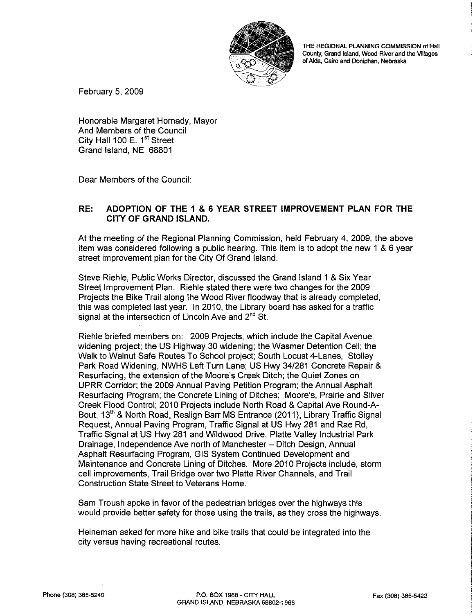

THE REGIONAL PLANNING COMMISSION of Hall County, Grand Island, Wood River and the Villages of Alda, Cairo and Doniphan, Nebraska

February 5, 2009

Honorable Margaret Hornady, Mayor And Members of the Council City Hall 100 E. 1<sup>st</sup> Street Grand Island, NE 68801

Dear Members of the Council:

#### RE: ADOPTION OF THE 1 & 6 YEAR STREET IMPROVEMENT PLAN FOR THE **CITY OF GRAND ISLAND.**

At the meeting of the Regional Planning Commission, held February 4, 2009, the above item was considered following a public hearing. This item is to adopt the new 1 & 6 year street improvement plan for the City Of Grand Island.

Steve Riehle, Public Works Director, discussed the Grand Island 1 & Six Year Street Improvement Plan. Riehle stated there were two changes for the 2009 Projects the Bike Trail along the Wood River floodway that is already completed. this was completed last year. In 2010, the Library board has asked for a traffic signal at the intersection of Lincoln Ave and 2<sup>nd</sup> St.

Riehle briefed members on: 2009 Projects, which include the Capital Avenue widening project; the US Highway 30 widening; the Wasmer Detention Cell; the Walk to Walnut Safe Routes To School project; South Locust 4-Lanes, Stolley Park Road Widening, NWHS Left Turn Lane; US Hwy 34/281 Concrete Repair & Resurfacing, the extension of the Moore's Creek Ditch; the Quiet Zones on UPRR Corridor; the 2009 Annual Paving Petition Program; the Annual Asphalt Resurfacing Program: the Concrete Lining of Ditches: Moore's, Prairie and Silver Creek Flood Control; 2010 Projects include North Road & Capital Ave Round-A-Bout, 13<sup>th</sup> & North Road, Realign Barr MS Entrance (2011), Library Traffic Signal Request, Annual Paving Program, Traffic Signal at US Hwy 281 and Rae Rd, Traffic Signal at US Hwy 281 and Wildwood Drive, Platte Valley Industrial Park Drainage, Independence Ave north of Manchester - Ditch Design, Annual Asphalt Resurfacing Program, GIS System Continued Development and Maintenance and Concrete Lining of Ditches. More 2010 Projects include, storm cell improvements, Trail Bridge over two Platte River Channels, and Trail Construction State Street to Veterans Home.

Sam Troush spoke in favor of the pedestrian bridges over the highways this would provide better safety for those using the trails, as they cross the highways.

Heineman asked for more hike and bike trails that could be integrated into the city versus having recreational routes.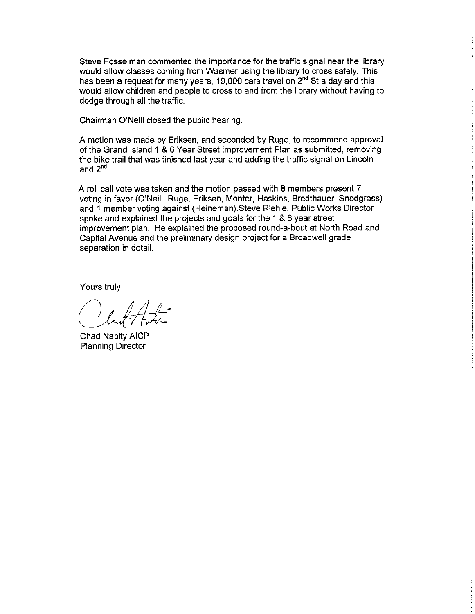Steve Fosselman commented the importance for the traffic signal near the library would allow classes coming from Wasmer using the library to cross safely. This has been a request for many years, 19,000 cars travel on 2<sup>nd</sup> St a day and this would allow children and people to cross to and from the library without having to dodge through all the traffic.

Chairman O'Neill closed the public hearing.

A motion was made by Eriksen, and seconded by Ruge, to recommend approval of the Grand Island 1 & 6 Year Street Improvement Plan as submitted, removing the bike trail that was finished last year and adding the traffic signal on Lincoln and  $2^{nd}$ .

A roll call vote was taken and the motion passed with 8 members present 7 voting in favor (O'Neill, Ruge, Eriksen, Monter, Haskins, Bredthauer, Snodgrass) and 1 member voting against (Heineman). Steve Riehle, Public Works Director spoke and explained the projects and goals for the 1 & 6 year street improvement plan. He explained the proposed round-a-bout at North Road and Capital Avenue and the preliminary design project for a Broadwell grade separation in detail.

Yours truly,

Chad Nabity AICP **Planning Director**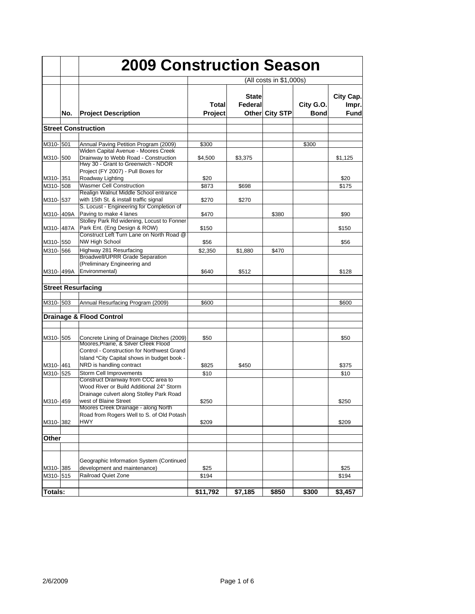|                | <b>2009 Construction Season</b> |                                                                                                                              |                         |                         |                |                          |                                   |  |
|----------------|---------------------------------|------------------------------------------------------------------------------------------------------------------------------|-------------------------|-------------------------|----------------|--------------------------|-----------------------------------|--|
|                |                                 |                                                                                                                              | (All costs in \$1,000s) |                         |                |                          |                                   |  |
|                | No.                             | <b>Project Description</b>                                                                                                   | Total<br>Project        | <b>State</b><br>Federal | Other City STP | City G.O.<br><b>Bond</b> | City Cap.<br>Impr.<br><b>Fund</b> |  |
|                |                                 | <b>Street Construction</b>                                                                                                   |                         |                         |                |                          |                                   |  |
|                |                                 |                                                                                                                              |                         |                         |                |                          |                                   |  |
| M310-501       |                                 | Annual Paving Petition Program (2009)<br>Widen Capital Avenue - Moores Creek                                                 | \$300                   |                         |                | \$300                    |                                   |  |
| M310-500       |                                 | Drainway to Webb Road - Construction<br>Hwy 30 - Grant to Greenwich - NDOR<br>Project (FY 2007) - Pull Boxes for             | \$4,500                 | \$3,375                 |                |                          | \$1,125                           |  |
| M310-351       |                                 | Roadway Lighting                                                                                                             | \$20                    |                         |                |                          | \$20                              |  |
| M310-508       |                                 | <b>Wasmer Cell Construction</b>                                                                                              | \$873                   | \$698                   |                |                          | \$175                             |  |
| M310-537       |                                 | Realign Walnut Middle School entrance<br>with 15th St. & install traffic signal<br>S. Locust - Engineering for Completion of | \$270                   | \$270                   |                |                          |                                   |  |
| M310-409A      |                                 | Paving to make 4 lanes<br>Stolley Park Rd widening, Locust to Fonner                                                         | \$470                   |                         | \$380          |                          | \$90                              |  |
| M310-487A      |                                 | Park Ent. (Eng Design & ROW)<br>Construct Left Turn Lane on North Road @                                                     | \$150                   |                         |                |                          | \$150                             |  |
| M310-550       |                                 | <b>NW High School</b>                                                                                                        | \$56                    |                         |                |                          | \$56                              |  |
| M310-1566      |                                 | Highway 281 Resurfacing                                                                                                      | \$2,350                 | \$1,880                 | \$470          |                          |                                   |  |
|                |                                 | <b>Broadwell/UPRR Grade Separation</b><br>(Preliminary Engineering and                                                       |                         |                         |                |                          |                                   |  |
| M310-499A      |                                 | Environmental)                                                                                                               | \$640                   | \$512                   |                |                          | \$128                             |  |
|                |                                 | <b>Street Resurfacing</b>                                                                                                    |                         |                         |                |                          |                                   |  |
| M310-503       |                                 | Annual Resurfacing Program (2009)                                                                                            | \$600                   |                         |                |                          | \$600                             |  |
|                |                                 | Drainage & Flood Control                                                                                                     |                         |                         |                |                          |                                   |  |
|                |                                 |                                                                                                                              |                         |                         |                |                          |                                   |  |
| M310- 505      |                                 | Concrete Lining of Drainage Ditches (2009)<br>Moores, Prairie, & Silver Creek Flood                                          | \$50                    |                         |                |                          | \$50                              |  |
|                |                                 | Control - Construction for Northwest Grand<br>Island *City Capital shows in budget book -                                    |                         |                         |                |                          |                                   |  |
| M310-461       |                                 | NRD is handling contract                                                                                                     | \$825                   | \$450                   |                |                          | \$375                             |  |
| M310-525       |                                 | Storm Cell Improvements<br>Construct Drainway from CCC area to<br>Wood River or Build Additional 24" Storm                   | \$10                    |                         |                |                          | \$10                              |  |
| M310-459       |                                 | Drainage culvert along Stolley Park Road<br>west of Blaine Street<br>Moores Creek Drainage - along North                     | \$250                   |                         |                |                          | \$250                             |  |
| M310-382       |                                 | Road from Rogers Well to S. of Old Potash<br>HWY                                                                             | \$209                   |                         |                |                          | \$209                             |  |
|                |                                 |                                                                                                                              |                         |                         |                |                          |                                   |  |
| Other          |                                 |                                                                                                                              |                         |                         |                |                          |                                   |  |
|                |                                 |                                                                                                                              |                         |                         |                |                          |                                   |  |
| M310-385       |                                 | Geographic Information System (Continued<br>development and maintenance)                                                     | \$25                    |                         |                |                          | \$25                              |  |
| M310-515       |                                 | <b>Railroad Quiet Zone</b>                                                                                                   | \$194                   |                         |                |                          | \$194                             |  |
| <b>Totals:</b> |                                 |                                                                                                                              | \$11,792                | \$7,185                 | \$850          | \$300                    | \$3,457                           |  |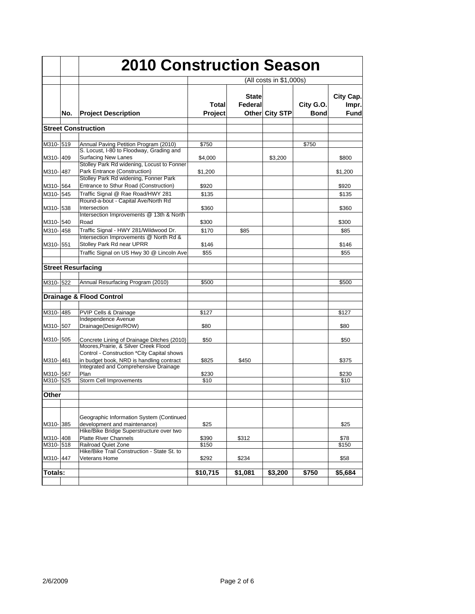|                      |     | <b>2010 Construction Season</b>                                                                                                 |                         |                         |                       |                          |                             |  |
|----------------------|-----|---------------------------------------------------------------------------------------------------------------------------------|-------------------------|-------------------------|-----------------------|--------------------------|-----------------------------|--|
|                      |     |                                                                                                                                 | (All costs in \$1,000s) |                         |                       |                          |                             |  |
|                      | No. | <b>Project Description</b>                                                                                                      | Total<br>Project        | <b>State</b><br>Federal | <b>Other City STP</b> | City G.O.<br><b>Bond</b> | City Cap.<br>Impr.<br>Fundl |  |
|                      |     | <b>Street Construction</b>                                                                                                      |                         |                         |                       |                          |                             |  |
|                      |     |                                                                                                                                 |                         |                         |                       |                          |                             |  |
| M310-519             |     | Annual Paving Petition Program (2010)<br>S. Locust, I-80 to Floodway, Grading and                                               | \$750                   |                         |                       | \$750                    |                             |  |
| M310-409             |     | <b>Surfacing New Lanes</b><br>Stolley Park Rd widening, Locust to Fonner                                                        | \$4,000                 |                         | \$3,200               |                          | \$800                       |  |
| M310-1487            |     | Park Entrance (Construction)                                                                                                    | \$1,200                 |                         |                       |                          | \$1,200                     |  |
| M310-564             |     | Stolley Park Rd widening, Fonner Park<br>Entrance to Sthur Road (Construction)                                                  | \$920                   |                         |                       |                          | \$920                       |  |
| M310-1545            |     | Traffic Signal @ Rae Road/HWY 281                                                                                               | \$135                   |                         |                       |                          | \$135                       |  |
| M310-538             |     | Round-a-bout - Capital Ave/North Rd<br>Intersection                                                                             | \$360                   |                         |                       |                          | \$360                       |  |
|                      |     | Intersection Improvements @ 13th & North                                                                                        |                         |                         |                       |                          |                             |  |
| M310-540<br>M310-458 |     | Road<br>Traffic Signal - HWY 281/Wildwood Dr.                                                                                   | \$300<br>\$170          | \$85                    |                       |                          | \$300<br>\$85               |  |
| M310-551             |     | Intersection Improvements @ North Rd &<br>Stolley Park Rd near UPRR                                                             | \$146                   |                         |                       |                          | \$146                       |  |
|                      |     | Traffic Signal on US Hwy 30 @ Lincoln Ave                                                                                       | \$55                    |                         |                       |                          | \$55                        |  |
|                      |     |                                                                                                                                 |                         |                         |                       |                          |                             |  |
|                      |     | <b>Street Resurfacing</b>                                                                                                       |                         |                         |                       |                          |                             |  |
| M310-522             |     | Annual Resurfacing Program (2010)                                                                                               | \$500                   |                         |                       |                          | \$500                       |  |
|                      |     | <b>Drainage &amp; Flood Control</b>                                                                                             |                         |                         |                       |                          |                             |  |
| M310-485             |     | PVIP Cells & Drainage                                                                                                           | \$127                   |                         |                       |                          | \$127                       |  |
|                      |     | Independence Avenue                                                                                                             |                         |                         |                       |                          |                             |  |
| M310-507             |     | Drainage(Design/ROW)                                                                                                            | \$80                    |                         |                       |                          | \$80                        |  |
| M310-505             |     | Concrete Lining of Drainage Ditches (2010)<br>Moores, Prairie, & Silver Creek Flood                                             | \$50                    |                         |                       |                          | \$50                        |  |
| M310-461             |     | Control - Construction *City Capital shows<br>in budget book, NRD is handling contract<br>Integrated and Comprehensive Drainage | \$825                   | \$450                   |                       |                          | \$375                       |  |
| M310-567             |     | Plan                                                                                                                            | \$230                   |                         |                       |                          | \$230                       |  |
| M310-525             |     | Storm Cell Improvements                                                                                                         | \$10                    |                         |                       |                          | \$10                        |  |
| Other                |     |                                                                                                                                 |                         |                         |                       |                          |                             |  |
|                      |     |                                                                                                                                 |                         |                         |                       |                          |                             |  |
| M310-385             |     | Geographic Information System (Continued<br>development and maintenance)<br>Hike/Bike Bridge Superstructure over two            | \$25                    |                         |                       |                          | \$25                        |  |
| M310-408             |     | <b>Platte River Channels</b>                                                                                                    | \$390                   | \$312                   |                       |                          | \$78                        |  |
| M310-518             |     | Railroad Quiet Zone                                                                                                             | \$150                   |                         |                       |                          | \$150                       |  |
| M310-447             |     | Hike/Bike Trail Construction - State St. to<br><b>Veterans Home</b>                                                             | \$292                   | \$234                   |                       |                          | \$58                        |  |
| Totals:              |     |                                                                                                                                 | \$10,715                | \$1,081                 | \$3,200               | \$750                    | \$5,684                     |  |
|                      |     |                                                                                                                                 |                         |                         |                       |                          |                             |  |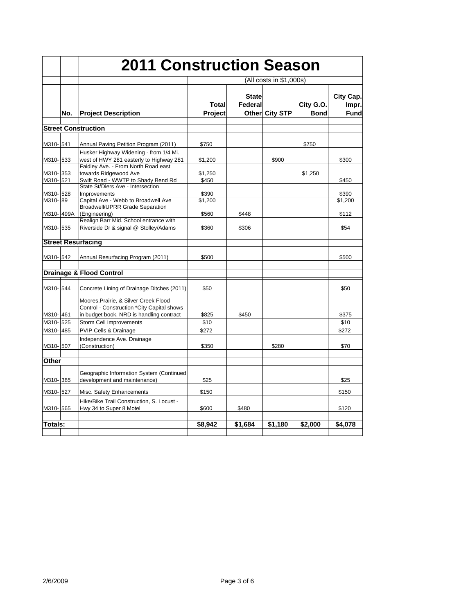|                      |     |                                                                                                                                 | <b>2011 Construction Season</b> |                         |                |                          |                            |  |
|----------------------|-----|---------------------------------------------------------------------------------------------------------------------------------|---------------------------------|-------------------------|----------------|--------------------------|----------------------------|--|
|                      |     |                                                                                                                                 | (All costs in \$1,000s)         |                         |                |                          |                            |  |
|                      | No. | <b>Project Description</b>                                                                                                      | Total<br>Project                | <b>State</b><br>Federal | Other City STP | City G.O.<br><b>Bond</b> | City Cap.<br>Impr.<br>Fund |  |
|                      |     | <b>Street Construction</b>                                                                                                      |                                 |                         |                |                          |                            |  |
| M310-541             |     | Annual Paving Petition Program (2011)                                                                                           | \$750                           |                         |                | \$750                    |                            |  |
| M310-533             |     | Husker Highway Widening - from 1/4 Mi.<br>west of HWY 281 easterly to Highway 281                                               | \$1,200                         |                         | \$900          |                          | \$300                      |  |
| M310-353             |     | Faidley Ave. - From North Road east<br>towards Ridgewood Ave                                                                    | \$1,250                         |                         |                | \$1,250                  |                            |  |
| M310-521<br>M310-528 |     | Swift Road - WWTP to Shady Bend Rd<br>State St/Diers Ave - Intersection<br><b>Improvements</b>                                  | \$450<br>\$390                  |                         |                |                          | \$450<br>\$390             |  |
| M310-89<br>M310-499A |     | Capital Ave - Webb to Broadwell Ave<br><b>Broadwell/UPRR Grade Separation</b><br>(Engineering)                                  | \$1.200<br>\$560                | \$448                   |                |                          | \$1,200<br>\$112           |  |
| M310-535             |     | Realign Barr Mid. School entrance with<br>Riverside Dr & signal @ Stolley/Adams                                                 | \$360                           | \$306                   |                |                          | \$54                       |  |
|                      |     | <b>Street Resurfacing</b>                                                                                                       |                                 |                         |                |                          |                            |  |
| M310-542             |     | Annual Resurfacing Program (2011)                                                                                               | \$500                           |                         |                |                          | \$500                      |  |
|                      |     | <b>Drainage &amp; Flood Control</b>                                                                                             |                                 |                         |                |                          |                            |  |
| M310-544             |     | Concrete Lining of Drainage Ditches (2011)                                                                                      | \$50                            |                         |                |                          | \$50                       |  |
| M310-461             |     | Moores, Prairie, & Silver Creek Flood<br>Control - Construction *City Capital shows<br>in budget book, NRD is handling contract | \$825                           | \$450                   |                |                          | \$375                      |  |
| M310-525             |     | Storm Cell Improvements                                                                                                         | \$10                            |                         |                |                          | \$10                       |  |
| M310-485             |     | PVIP Cells & Drainage                                                                                                           | \$272                           |                         |                |                          | \$272                      |  |
| M310-507             |     | Independence Ave. Drainage<br>(Construction)                                                                                    | \$350                           |                         | \$280          |                          | \$70                       |  |
| Other                |     |                                                                                                                                 |                                 |                         |                |                          |                            |  |
| M310-385             |     | Geographic Information System (Continued<br>development and maintenance)                                                        | \$25                            |                         |                |                          | \$25                       |  |
| M310-527             |     | Misc. Safety Enhancements                                                                                                       | \$150                           |                         |                |                          | \$150                      |  |
| M310-565             |     | Hike/Bike Trail Construction, S. Locust -<br>Hwy 34 to Super 8 Motel                                                            | \$600                           | \$480                   |                |                          | \$120                      |  |
| Totals:              |     |                                                                                                                                 | \$8,942                         | \$1,684                 | \$1,180        | \$2,000                  | \$4,078                    |  |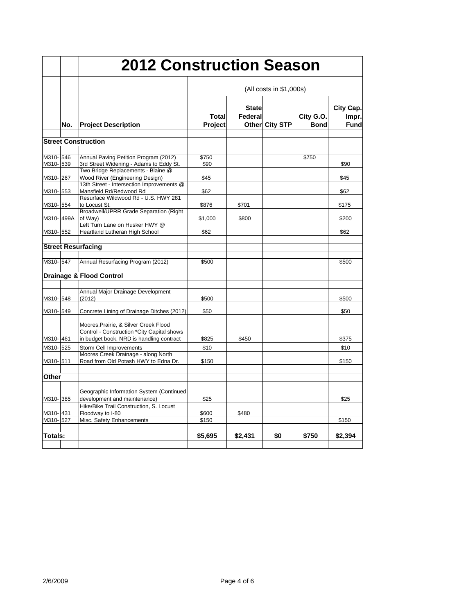| <b>2012 Construction Season</b> |     |                                                                                                              |                                |                         |                |                          |                                   |  |
|---------------------------------|-----|--------------------------------------------------------------------------------------------------------------|--------------------------------|-------------------------|----------------|--------------------------|-----------------------------------|--|
|                                 |     |                                                                                                              | (All costs in \$1,000s)        |                         |                |                          |                                   |  |
|                                 | No. | <b>Project Description</b>                                                                                   | <b>Total</b><br><b>Project</b> | <b>State</b><br>Federal | Other City STP | City G.O.<br><b>Bond</b> | City Cap.<br>Impr.<br><b>Fund</b> |  |
|                                 |     | <b>Street Construction</b>                                                                                   |                                |                         |                |                          |                                   |  |
|                                 |     |                                                                                                              |                                |                         |                |                          |                                   |  |
| M310-546                        |     | Annual Paving Petition Program (2012)                                                                        | \$750                          |                         |                | \$750                    |                                   |  |
| M310-539                        |     | 3rd Street Widening - Adams to Eddy St.                                                                      | \$90                           |                         |                |                          | \$90                              |  |
| M310-267                        |     | Two Bridge Replacements - Blaine @<br>Wood River (Engineering Design)                                        | \$45                           |                         |                |                          | \$45                              |  |
| M310-553                        |     | 13th Street - Intersection Improvements @<br>Mansfield Rd/Redwood Rd<br>Resurface Wildwood Rd - U.S. HWY 281 | \$62                           |                         |                |                          | \$62                              |  |
| M310-554                        |     | to Locust St.                                                                                                | \$876                          | \$701                   |                |                          | \$175                             |  |
| M310-499A                       |     | Broadwell/UPRR Grade Separation (Right<br>of Way)                                                            | \$1,000                        | \$800                   |                |                          | \$200                             |  |
| M310-552                        |     | Left Turn Lane on Husker HWY @<br>Heartland Lutheran High School                                             | \$62                           |                         |                |                          | \$62                              |  |
|                                 |     | <b>Street Resurfacing</b>                                                                                    |                                |                         |                |                          |                                   |  |
| M310- 547                       |     | Annual Resurfacing Program (2012)                                                                            | \$500                          |                         |                |                          | \$500                             |  |
|                                 |     | <b>Drainage &amp; Flood Control</b>                                                                          |                                |                         |                |                          |                                   |  |
|                                 |     |                                                                                                              |                                |                         |                |                          |                                   |  |
| M310-548                        |     | Annual Major Drainage Development<br>(2012)                                                                  | \$500                          |                         |                |                          | \$500                             |  |
| M310-549                        |     | Concrete Lining of Drainage Ditches (2012)                                                                   | \$50                           |                         |                |                          | \$50                              |  |
|                                 |     | Moores, Prairie, & Silver Creek Flood<br>Control - Construction *City Capital shows                          |                                |                         |                |                          |                                   |  |
| M310-461                        |     | in budget book, NRD is handling contract                                                                     | \$825                          | \$450                   |                |                          | \$375                             |  |
| M310-525                        |     | Storm Cell Improvements<br>Moores Creek Drainage - along North                                               | \$10                           |                         |                |                          | \$10                              |  |
| M310-511                        |     | Road from Old Potash HWY to Edna Dr.                                                                         | \$150                          |                         |                |                          | \$150                             |  |
| Other                           |     |                                                                                                              |                                |                         |                |                          |                                   |  |
| M310-385                        |     | Geographic Information System (Continued<br>development and maintenance)                                     | \$25                           |                         |                |                          | \$25                              |  |
| M310-1431                       |     | Hike/Bike Trail Construction, S. Locust<br>Floodway to I-80                                                  | \$600                          | \$480                   |                |                          |                                   |  |
| M310-527                        |     | Misc. Safety Enhancements                                                                                    | \$150                          |                         |                |                          | \$150                             |  |
|                                 |     |                                                                                                              |                                |                         |                |                          |                                   |  |
| Totals:                         |     |                                                                                                              | \$5,695                        | \$2,431                 | \$0            | \$750                    | \$2,394                           |  |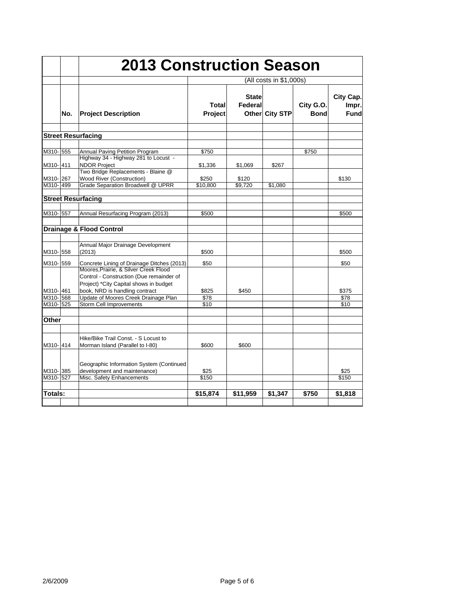|                      |     |                                                                                                                      | <b>2013 Construction Season</b> |                         |                |                          |                            |  |
|----------------------|-----|----------------------------------------------------------------------------------------------------------------------|---------------------------------|-------------------------|----------------|--------------------------|----------------------------|--|
|                      |     |                                                                                                                      | (All costs in \$1,000s)         |                         |                |                          |                            |  |
|                      | No. | <b>Project Description</b>                                                                                           | Total<br><b>Project</b>         | <b>State</b><br>Federal | Other City STP | City G.O.<br><b>Bond</b> | City Cap.<br>Impr.<br>Fund |  |
|                      |     | <b>Street Resurfacing</b>                                                                                            |                                 |                         |                |                          |                            |  |
| M310-555             |     | Annual Paving Petition Program<br>Highway 34 - Highway 281 to Locust -                                               | \$750                           |                         |                | \$750                    |                            |  |
| M310-411             |     | <b>NDOR Project</b><br>Two Bridge Replacements - Blaine @                                                            | \$1,336                         | \$1,069                 | \$267          |                          |                            |  |
| M310-267<br>M310-499 |     | <b>Wood River (Construction)</b><br>Grade Separation Broadwell @ UPRR                                                | \$250<br>\$10,800               | \$120<br>\$9,720        | \$1,080        |                          | \$130                      |  |
|                      |     | <b>Street Resurfacing</b>                                                                                            |                                 |                         |                |                          |                            |  |
| M310-557             |     | Annual Resurfacing Program (2013)                                                                                    | \$500                           |                         |                |                          | \$500                      |  |
|                      |     | <b>Drainage &amp; Flood Control</b>                                                                                  |                                 |                         |                |                          |                            |  |
| M310-558             |     | Annual Major Drainage Development<br>(2013)                                                                          | \$500                           |                         |                |                          | \$500                      |  |
| M310-559             |     | Concrete Lining of Drainage Ditches (2013)<br>Moores, Prairie, & Silver Creek Flood                                  | \$50                            |                         |                |                          | \$50                       |  |
| M310-461             |     | Control - Construction (Due remainder of<br>Project) *City Capital shows in budget<br>book, NRD is handling contract | \$825                           | \$450                   |                |                          | \$375                      |  |
| M310-568<br>M310-525 |     | Update of Moores Creek Drainage Plan<br>Storm Cell Improvements                                                      | \$78<br>\$10                    |                         |                |                          | \$78<br>\$10               |  |
| Other                |     |                                                                                                                      |                                 |                         |                |                          |                            |  |
| M310-414             |     | Hike/Bike Trail Const. - S Locust to<br>Morman Island (Parallel to I-80)                                             | \$600                           | \$600                   |                |                          |                            |  |
| M310-385             |     | Geographic Information System (Continued<br>development and maintenance)                                             | \$25                            |                         |                |                          | \$25                       |  |
| M310-527             |     | Misc. Safety Enhancements                                                                                            | \$150                           |                         |                |                          | \$150                      |  |
| Totals:              |     |                                                                                                                      | \$15,874                        | \$11,959                | \$1,347        | \$750                    | \$1,818                    |  |